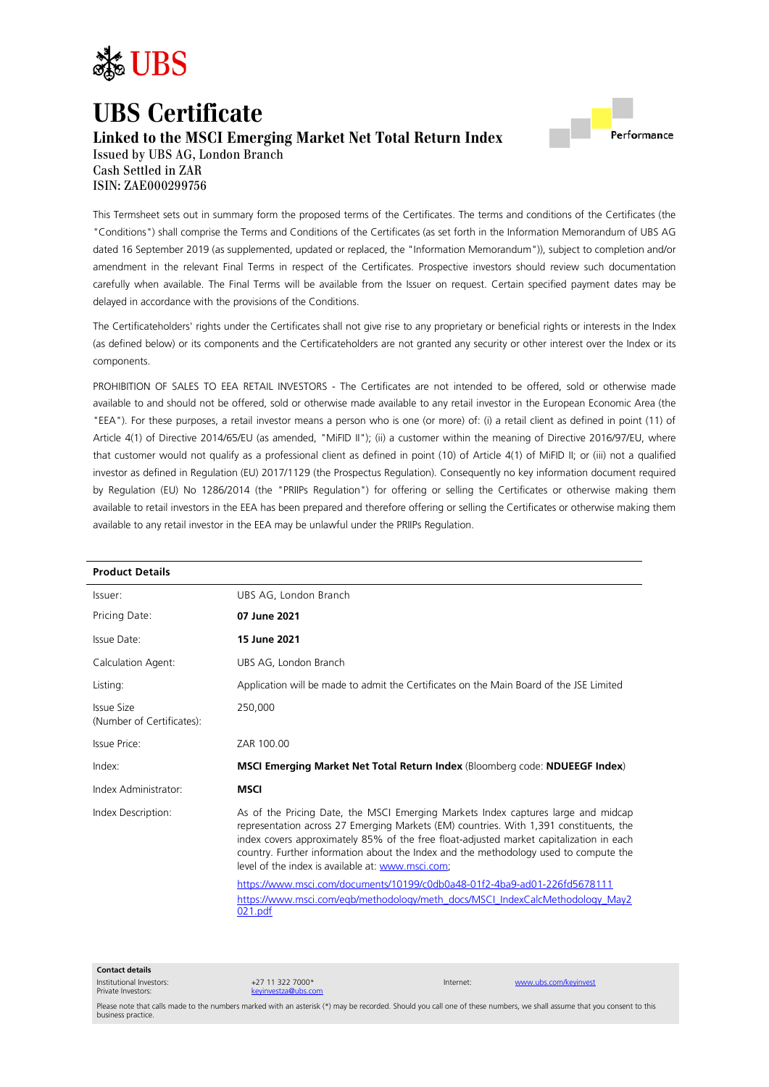

# **UBS Certificate Linked to the MSCI Emerging Market Net Total Return Index**



Issued by UBS AG, London Branch Cash Settled in ZAR ISIN: ZAE000299756

This Termsheet sets out in summary form the proposed terms of the Certificates. The terms and conditions of the Certificates (the "Conditions") shall comprise the Terms and Conditions of the Certificates (as set forth in the Information Memorandum of UBS AG dated 16 September 2019 (as supplemented, updated or replaced, the "Information Memorandum")), subject to completion and/or amendment in the relevant Final Terms in respect of the Certificates. Prospective investors should review such documentation carefully when available. The Final Terms will be available from the Issuer on request. Certain specified payment dates may be delayed in accordance with the provisions of the Conditions.

The Certificateholders' rights under the Certificates shall not give rise to any proprietary or beneficial rights or interests in the Index (as defined below) or its components and the Certificateholders are not granted any security or other interest over the Index or its components.

PROHIBITION OF SALES TO EEA RETAIL INVESTORS - The Certificates are not intended to be offered, sold or otherwise made available to and should not be offered, sold or otherwise made available to any retail investor in the European Economic Area (the "EEA"). For these purposes, a retail investor means a person who is one (or more) of: (i) a retail client as defined in point (11) of Article 4(1) of Directive 2014/65/EU (as amended, "MiFID II"); (ii) a customer within the meaning of Directive 2016/97/EU, where that customer would not qualify as a professional client as defined in point (10) of Article 4(1) of MiFID II; or (iii) not a qualified investor as defined in Regulation (EU) 2017/1129 (the Prospectus Regulation). Consequently no key information document required by Regulation (EU) No 1286/2014 (the "PRIIPs Regulation") for offering or selling the Certificates or otherwise making them available to retail investors in the EEA has been prepared and therefore offering or selling the Certificates or otherwise making them available to any retail investor in the EEA may be unlawful under the PRIIPs Regulation.

| <b>Product Details</b>                  |                                                                                                                                                                                                                                                                                                                                                                                                                                                                                                                                                                                              |  |
|-----------------------------------------|----------------------------------------------------------------------------------------------------------------------------------------------------------------------------------------------------------------------------------------------------------------------------------------------------------------------------------------------------------------------------------------------------------------------------------------------------------------------------------------------------------------------------------------------------------------------------------------------|--|
| Issuer:                                 | UBS AG, London Branch                                                                                                                                                                                                                                                                                                                                                                                                                                                                                                                                                                        |  |
| Pricing Date:                           | 07 June 2021                                                                                                                                                                                                                                                                                                                                                                                                                                                                                                                                                                                 |  |
| Issue Date:                             | 15 June 2021                                                                                                                                                                                                                                                                                                                                                                                                                                                                                                                                                                                 |  |
| Calculation Agent:                      | UBS AG, London Branch                                                                                                                                                                                                                                                                                                                                                                                                                                                                                                                                                                        |  |
| Listing:                                | Application will be made to admit the Certificates on the Main Board of the JSE Limited                                                                                                                                                                                                                                                                                                                                                                                                                                                                                                      |  |
| Issue Size<br>(Number of Certificates): | 250,000                                                                                                                                                                                                                                                                                                                                                                                                                                                                                                                                                                                      |  |
| Issue Price:                            | ZAR 100.00                                                                                                                                                                                                                                                                                                                                                                                                                                                                                                                                                                                   |  |
| Index:                                  | <b>MSCI Emerging Market Net Total Return Index</b> (Bloomberg code: <b>NDUEEGF Index</b> )                                                                                                                                                                                                                                                                                                                                                                                                                                                                                                   |  |
| Index Administrator:                    | <b>MSCI</b>                                                                                                                                                                                                                                                                                                                                                                                                                                                                                                                                                                                  |  |
| Index Description:                      | As of the Pricing Date, the MSCI Emerging Markets Index captures large and midcap<br>representation across 27 Emerging Markets (EM) countries. With 1,391 constituents, the<br>index covers approximately 85% of the free float-adjusted market capitalization in each<br>country. Further information about the Index and the methodology used to compute the<br>level of the index is available at: www.msci.com;<br>https://www.msci.com/documents/10199/c0db0a48-01f2-4ba9-ad01-226fd5678111<br>https://www.msci.com/eqb/methodology/meth_docs/MSCI_IndexCalcMethodology_May2<br>021.pdf |  |

**Contact details**

Institutional Investors: Private Investors:

+27 11 322 7000\* [keyinvestza@ubs.com](mailto:keyinvestza@ubs.com)

Internet: [www.ubs.com/keyinvest](http://www.ubs.com/keyinvest)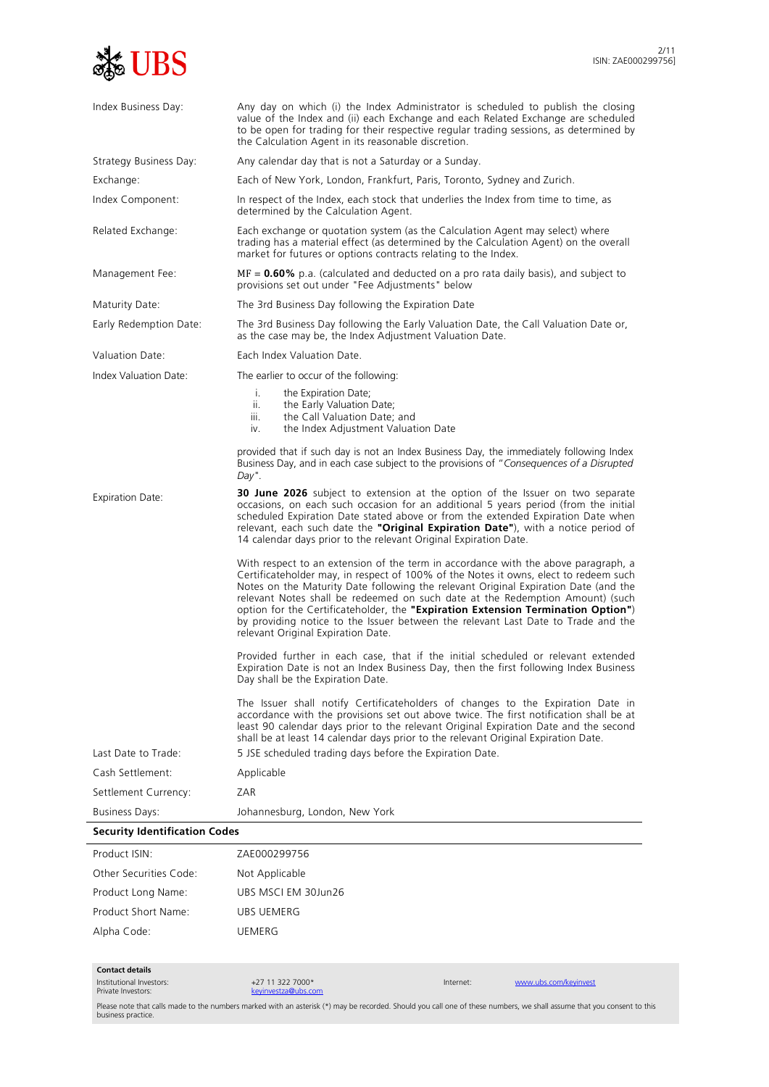

| Index Business Day:                  | Any day on which (i) the Index Administrator is scheduled to publish the closing<br>value of the Index and (ii) each Exchange and each Related Exchange are scheduled<br>to be open for trading for their respective regular trading sessions, as determined by<br>the Calculation Agent in its reasonable discretion.                                                                                                                                                                                                                                            |  |  |  |
|--------------------------------------|-------------------------------------------------------------------------------------------------------------------------------------------------------------------------------------------------------------------------------------------------------------------------------------------------------------------------------------------------------------------------------------------------------------------------------------------------------------------------------------------------------------------------------------------------------------------|--|--|--|
| Strategy Business Day:               | Any calendar day that is not a Saturday or a Sunday.                                                                                                                                                                                                                                                                                                                                                                                                                                                                                                              |  |  |  |
| Exchange:                            | Each of New York, London, Frankfurt, Paris, Toronto, Sydney and Zurich.                                                                                                                                                                                                                                                                                                                                                                                                                                                                                           |  |  |  |
| Index Component:                     | In respect of the Index, each stock that underlies the Index from time to time, as<br>determined by the Calculation Agent.                                                                                                                                                                                                                                                                                                                                                                                                                                        |  |  |  |
| Related Exchange:                    | Each exchange or quotation system (as the Calculation Agent may select) where<br>trading has a material effect (as determined by the Calculation Agent) on the overall<br>market for futures or options contracts relating to the Index.                                                                                                                                                                                                                                                                                                                          |  |  |  |
| Management Fee:                      | $MF = 0.60\%$ p.a. (calculated and deducted on a pro rata daily basis), and subject to<br>provisions set out under "Fee Adjustments" below                                                                                                                                                                                                                                                                                                                                                                                                                        |  |  |  |
| Maturity Date:                       | The 3rd Business Day following the Expiration Date                                                                                                                                                                                                                                                                                                                                                                                                                                                                                                                |  |  |  |
| Early Redemption Date:               | The 3rd Business Day following the Early Valuation Date, the Call Valuation Date or,<br>as the case may be, the Index Adjustment Valuation Date.                                                                                                                                                                                                                                                                                                                                                                                                                  |  |  |  |
| Valuation Date:                      | Fach Index Valuation Date.                                                                                                                                                                                                                                                                                                                                                                                                                                                                                                                                        |  |  |  |
| Index Valuation Date:                | The earlier to occur of the following:                                                                                                                                                                                                                                                                                                                                                                                                                                                                                                                            |  |  |  |
|                                      | i.<br>the Expiration Date;<br>ii.<br>the Early Valuation Date;<br>iii.<br>the Call Valuation Date; and<br>the Index Adjustment Valuation Date<br>iv.                                                                                                                                                                                                                                                                                                                                                                                                              |  |  |  |
|                                      | provided that if such day is not an Index Business Day, the immediately following Index<br>Business Day, and in each case subject to the provisions of "Consequences of a Disrupted<br>Day".                                                                                                                                                                                                                                                                                                                                                                      |  |  |  |
| <b>Expiration Date:</b>              | <b>30 June 2026</b> subject to extension at the option of the Issuer on two separate<br>occasions, on each such occasion for an additional 5 years period (from the initial<br>scheduled Expiration Date stated above or from the extended Expiration Date when<br>relevant, each such date the "Original Expiration Date"), with a notice period of<br>14 calendar days prior to the relevant Original Expiration Date.                                                                                                                                          |  |  |  |
|                                      | With respect to an extension of the term in accordance with the above paragraph, a<br>Certificateholder may, in respect of 100% of the Notes it owns, elect to redeem such<br>Notes on the Maturity Date following the relevant Original Expiration Date (and the<br>relevant Notes shall be redeemed on such date at the Redemption Amount) (such<br>option for the Certificateholder, the "Expiration Extension Termination Option")<br>by providing notice to the Issuer between the relevant Last Date to Trade and the<br>relevant Original Expiration Date. |  |  |  |
|                                      | Provided further in each case, that if the initial scheduled or relevant extended<br>Expiration Date is not an Index Business Day, then the first following Index Business<br>Day shall be the Expiration Date.                                                                                                                                                                                                                                                                                                                                                   |  |  |  |
|                                      | The Issuer shall notify Certificateholders of changes to the Expiration Date in<br>accordance with the provisions set out above twice. The first notification shall be at<br>least 90 calendar days prior to the relevant Original Expiration Date and the second<br>shall be at least 14 calendar days prior to the relevant Original Expiration Date.                                                                                                                                                                                                           |  |  |  |
| Last Date to Trade:                  | 5 JSE scheduled trading days before the Expiration Date.                                                                                                                                                                                                                                                                                                                                                                                                                                                                                                          |  |  |  |
| Cash Settlement:                     | Applicable                                                                                                                                                                                                                                                                                                                                                                                                                                                                                                                                                        |  |  |  |
| Settlement Currency:                 | ZAR                                                                                                                                                                                                                                                                                                                                                                                                                                                                                                                                                               |  |  |  |
| <b>Business Days:</b>                | Johannesburg, London, New York                                                                                                                                                                                                                                                                                                                                                                                                                                                                                                                                    |  |  |  |
| <b>Security Identification Codes</b> |                                                                                                                                                                                                                                                                                                                                                                                                                                                                                                                                                                   |  |  |  |
| Product ISIN:                        | ZAE000299756                                                                                                                                                                                                                                                                                                                                                                                                                                                                                                                                                      |  |  |  |
| Other Securities Code:               | Not Applicable                                                                                                                                                                                                                                                                                                                                                                                                                                                                                                                                                    |  |  |  |
| Product Long Name:                   | UBS MSCI EM 30Jun26                                                                                                                                                                                                                                                                                                                                                                                                                                                                                                                                               |  |  |  |
| Product Short Name:                  | UBS UEMERG                                                                                                                                                                                                                                                                                                                                                                                                                                                                                                                                                        |  |  |  |

**Contact details**

Institutional Investors: Private Investors:

+27 11 322 7000\* [keyinvestza@ubs.com](mailto:keyinvestza@ubs.com)

Alpha Code: UEMERG

Internet: [www.ubs.com/keyinvest](http://www.ubs.com/keyinvest)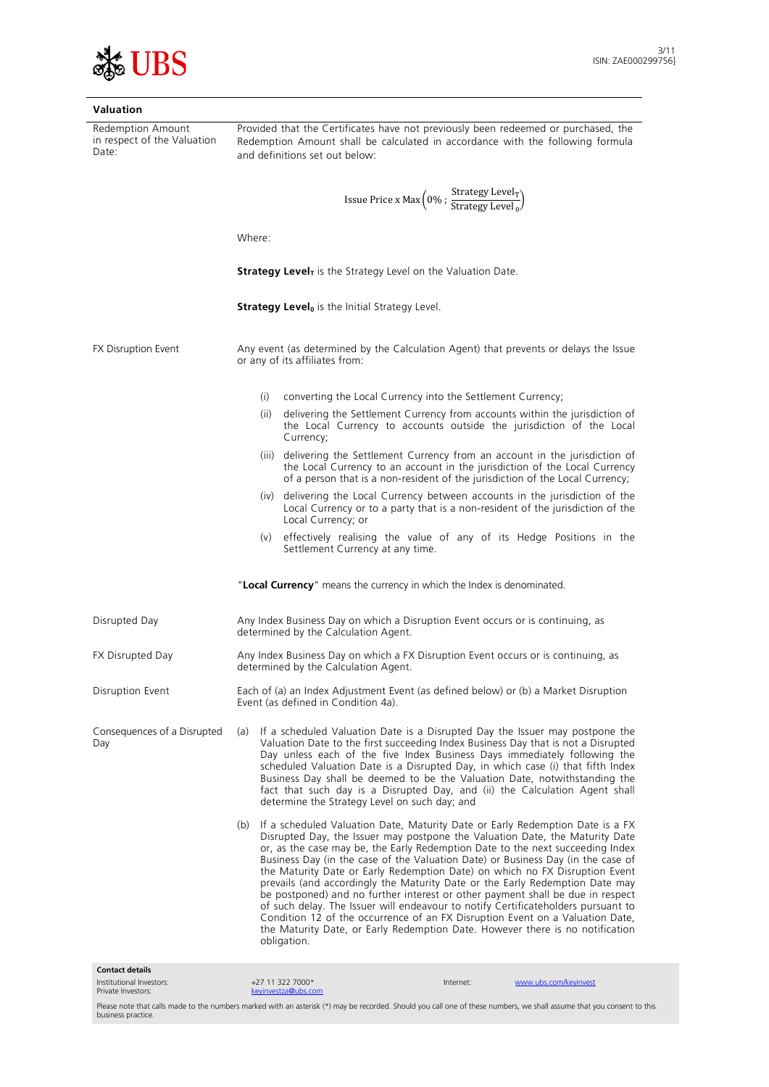

| Valuation                                                 |                                                                                                                                                                                                                                                                                                                                                                                                                                                                                                                                                                                                                                                                                                                                                                                                                                                                   |  |  |
|-----------------------------------------------------------|-------------------------------------------------------------------------------------------------------------------------------------------------------------------------------------------------------------------------------------------------------------------------------------------------------------------------------------------------------------------------------------------------------------------------------------------------------------------------------------------------------------------------------------------------------------------------------------------------------------------------------------------------------------------------------------------------------------------------------------------------------------------------------------------------------------------------------------------------------------------|--|--|
| Redemption Amount<br>in respect of the Valuation<br>Date: | Provided that the Certificates have not previously been redeemed or purchased, the<br>Redemption Amount shall be calculated in accordance with the following formula<br>and definitions set out below:                                                                                                                                                                                                                                                                                                                                                                                                                                                                                                                                                                                                                                                            |  |  |
|                                                           | Issue Price x Max $(0\%$ ; $\frac{\text{Strategy Level}_{\text{T}}}{\text{Strategy Level}_{\Omega}})$                                                                                                                                                                                                                                                                                                                                                                                                                                                                                                                                                                                                                                                                                                                                                             |  |  |
|                                                           | Where:                                                                                                                                                                                                                                                                                                                                                                                                                                                                                                                                                                                                                                                                                                                                                                                                                                                            |  |  |
|                                                           | <b>Strategy Level<sub>T</sub></b> is the Strategy Level on the Valuation Date.                                                                                                                                                                                                                                                                                                                                                                                                                                                                                                                                                                                                                                                                                                                                                                                    |  |  |
|                                                           | <b>Strategy Level</b> <sup>0</sup> is the Initial Strategy Level.                                                                                                                                                                                                                                                                                                                                                                                                                                                                                                                                                                                                                                                                                                                                                                                                 |  |  |
| FX Disruption Event                                       | Any event (as determined by the Calculation Agent) that prevents or delays the Issue<br>or any of its affiliates from:                                                                                                                                                                                                                                                                                                                                                                                                                                                                                                                                                                                                                                                                                                                                            |  |  |
|                                                           | converting the Local Currency into the Settlement Currency;<br>(i)                                                                                                                                                                                                                                                                                                                                                                                                                                                                                                                                                                                                                                                                                                                                                                                                |  |  |
|                                                           | delivering the Settlement Currency from accounts within the jurisdiction of<br>(ii)<br>the Local Currency to accounts outside the jurisdiction of the Local<br>Currency;                                                                                                                                                                                                                                                                                                                                                                                                                                                                                                                                                                                                                                                                                          |  |  |
|                                                           | (iii) delivering the Settlement Currency from an account in the jurisdiction of<br>the Local Currency to an account in the jurisdiction of the Local Currency<br>of a person that is a non-resident of the jurisdiction of the Local Currency;                                                                                                                                                                                                                                                                                                                                                                                                                                                                                                                                                                                                                    |  |  |
|                                                           | (iv) delivering the Local Currency between accounts in the jurisdiction of the<br>Local Currency or to a party that is a non-resident of the jurisdiction of the<br>Local Currency; or                                                                                                                                                                                                                                                                                                                                                                                                                                                                                                                                                                                                                                                                            |  |  |
|                                                           | effectively realising the value of any of its Hedge Positions in the<br>(v)<br>Settlement Currency at any time.                                                                                                                                                                                                                                                                                                                                                                                                                                                                                                                                                                                                                                                                                                                                                   |  |  |
|                                                           | "Local Currency" means the currency in which the Index is denominated.                                                                                                                                                                                                                                                                                                                                                                                                                                                                                                                                                                                                                                                                                                                                                                                            |  |  |
| Disrupted Day                                             | Any Index Business Day on which a Disruption Event occurs or is continuing, as<br>determined by the Calculation Agent.                                                                                                                                                                                                                                                                                                                                                                                                                                                                                                                                                                                                                                                                                                                                            |  |  |
| FX Disrupted Day                                          | Any Index Business Day on which a FX Disruption Event occurs or is continuing, as<br>determined by the Calculation Agent.                                                                                                                                                                                                                                                                                                                                                                                                                                                                                                                                                                                                                                                                                                                                         |  |  |
| Disruption Event                                          | Each of (a) an Index Adjustment Event (as defined below) or (b) a Market Disruption<br>Event (as defined in Condition 4a).                                                                                                                                                                                                                                                                                                                                                                                                                                                                                                                                                                                                                                                                                                                                        |  |  |
| Consequences of a Disrupted<br>Day                        | If a scheduled Valuation Date is a Disrupted Day the Issuer may postpone the<br>(a)<br>Valuation Date to the first succeeding Index Business Day that is not a Disrupted<br>Day unless each of the five Index Business Days immediately following the<br>scheduled Valuation Date is a Disrupted Day, in which case (i) that fifth Index<br>Business Day shall be deemed to be the Valuation Date, notwithstanding the<br>fact that such day is a Disrupted Day, and (ii) the Calculation Agent shall<br>determine the Strategy Level on such day; and                                                                                                                                                                                                                                                                                                            |  |  |
|                                                           | If a scheduled Valuation Date, Maturity Date or Early Redemption Date is a FX<br>(b)<br>Disrupted Day, the Issuer may postpone the Valuation Date, the Maturity Date<br>or, as the case may be, the Early Redemption Date to the next succeeding Index<br>Business Day (in the case of the Valuation Date) or Business Day (in the case of<br>the Maturity Date or Early Redemption Date) on which no FX Disruption Event<br>prevails (and accordingly the Maturity Date or the Early Redemption Date may<br>be postponed) and no further interest or other payment shall be due in respect<br>of such delay. The Issuer will endeavour to notify Certificateholders pursuant to<br>Condition 12 of the occurrence of an FX Disruption Event on a Valuation Date,<br>the Maturity Date, or Early Redemption Date. However there is no notification<br>obligation. |  |  |
| <b>Contact details</b>                                    |                                                                                                                                                                                                                                                                                                                                                                                                                                                                                                                                                                                                                                                                                                                                                                                                                                                                   |  |  |
| Institutional Investors:                                  | +27 11 322 7000*<br>www.ubs.com/keyinvest<br>Internet:                                                                                                                                                                                                                                                                                                                                                                                                                                                                                                                                                                                                                                                                                                                                                                                                            |  |  |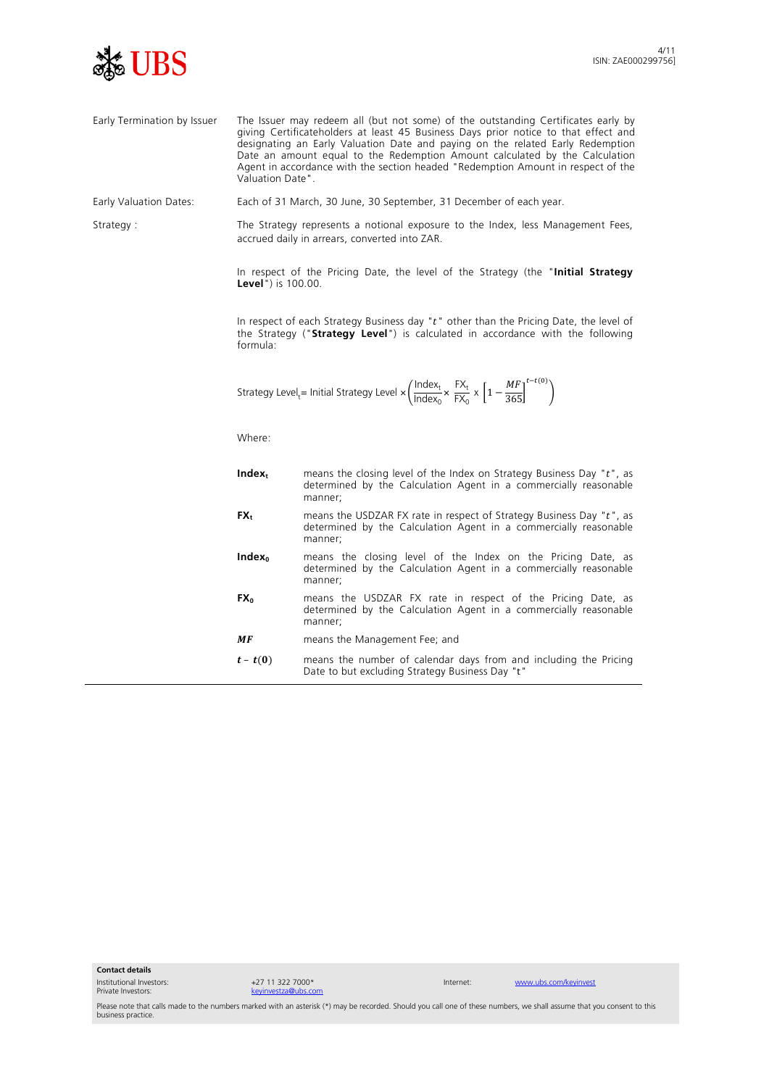

Early Termination by Issuer The Issuer may redeem all (but not some) of the outstanding Certificates early by giving Certificateholders at least 45 Business Days prior notice to that effect and designating an Early Valuation Date and paying on the related Early Redemption Date an amount equal to the Redemption Amount calculated by the Calculation Agent in accordance with the section headed "Redemption Amount in respect of the Valuation Date".

Early Valuation Dates: Each of 31 March, 30 June, 30 September, 31 December of each year.

Strategy : The Strategy represents a notional exposure to the Index, less Management Fees, accrued daily in arrears, converted into ZAR.

> In respect of the Pricing Date, the level of the Strategy (the "**Initial Strategy Level**") is 100.00.

> In respect of each Strategy Business day " $t$ " other than the Pricing Date, the level of the Strategy ("**Strategy Level**") is calculated in accordance with the following formula:

Strategy Level<sub>t</sub> = Initial Strategy Level × 
$$
\left(\frac{\text{Index}_{t}}{\text{Index}_{0}} \times \frac{FX_{t}}{FX_{0}} \times \left[1 - \frac{MF}{365}\right]^{t-t(0)}\right)
$$

Where:

| $Index_t$          | means the closing level of the Index on Strategy Business Day "t", as<br>determined by the Calculation Agent in a commercially reasonable<br>manner; |
|--------------------|------------------------------------------------------------------------------------------------------------------------------------------------------|
| $FX_{t}$           | means the USDZAR FX rate in respect of Strategy Business Day "t", as<br>determined by the Calculation Agent in a commercially reasonable<br>manner;  |
| Index <sub>0</sub> | means the closing level of the Index on the Pricing Date, as<br>determined by the Calculation Agent in a commercially reasonable<br>manner;          |
| FX <sub>0</sub>    | means the USDZAR FX rate in respect of the Pricing Date, as<br>determined by the Calculation Agent in a commercially reasonable<br>manner;           |
| МF                 | means the Management Fee; and                                                                                                                        |
| $t-t(0)$           | means the number of calendar days from and including the Pricing<br>Date to but excluding Strategy Business Day "t"                                  |

**Contact details**

Institutional Investors: Private Investors:

+27 11 322 7000\* [keyinvestza@ubs.com](mailto:keyinvestza@ubs.com)

Internet: [www.ubs.com/keyinvest](http://www.ubs.com/keyinvest)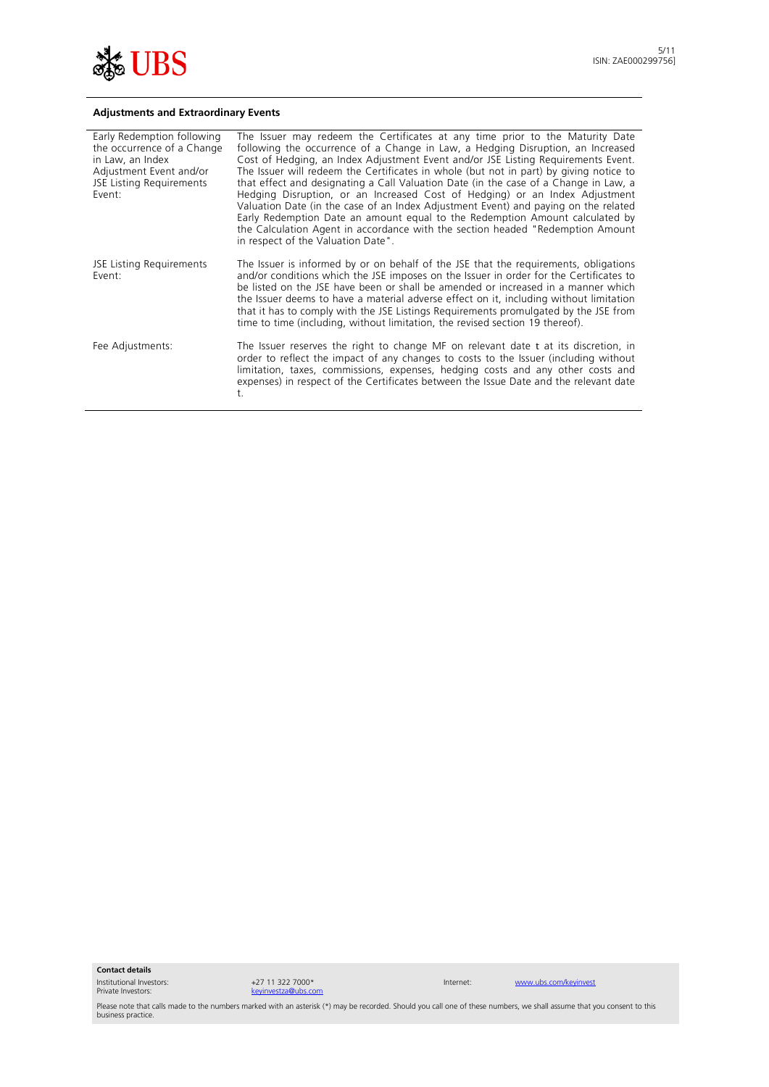

## **Adjustments and Extraordinary Events**

| Early Redemption following<br>the occurrence of a Change<br>in Law, an Index<br>Adjustment Event and/or<br>JSE Listing Requirements<br>Event: | The Issuer may redeem the Certificates at any time prior to the Maturity Date<br>following the occurrence of a Change in Law, a Hedging Disruption, an Increased<br>Cost of Hedging, an Index Adjustment Event and/or JSE Listing Reguirements Event.<br>The Issuer will redeem the Certificates in whole (but not in part) by giving notice to<br>that effect and designating a Call Valuation Date (in the case of a Change in Law, a<br>Hedging Disruption, or an Increased Cost of Hedging) or an Index Adjustment<br>Valuation Date (in the case of an Index Adjustment Event) and paying on the related<br>Early Redemption Date an amount equal to the Redemption Amount calculated by<br>the Calculation Agent in accordance with the section headed "Redemption Amount<br>in respect of the Valuation Date". |
|-----------------------------------------------------------------------------------------------------------------------------------------------|-----------------------------------------------------------------------------------------------------------------------------------------------------------------------------------------------------------------------------------------------------------------------------------------------------------------------------------------------------------------------------------------------------------------------------------------------------------------------------------------------------------------------------------------------------------------------------------------------------------------------------------------------------------------------------------------------------------------------------------------------------------------------------------------------------------------------|
| JSE Listing Requirements<br>Fvent:                                                                                                            | The Issuer is informed by or on behalf of the JSE that the requirements, obligations<br>and/or conditions which the JSE imposes on the Issuer in order for the Certificates to<br>be listed on the JSE have been or shall be amended or increased in a manner which<br>the Issuer deems to have a material adverse effect on it, including without limitation<br>that it has to comply with the JSE Listings Requirements promulgated by the JSE from<br>time to time (including, without limitation, the revised section 19 thereof).                                                                                                                                                                                                                                                                                |
| Fee Adjustments:                                                                                                                              | The Issuer reserves the right to change MF on relevant date t at its discretion, in<br>order to reflect the impact of any changes to costs to the Issuer (including without<br>limitation, taxes, commissions, expenses, hedging costs and any other costs and<br>expenses) in respect of the Certificates between the Issue Date and the relevant date<br>t.                                                                                                                                                                                                                                                                                                                                                                                                                                                         |

**Contact details**

Institutional Investors: Private Investors:

+27 11 322 7000\* [keyinvestza@ubs.com](mailto:keyinvestza@ubs.com)

Internet: [www.ubs.com/keyinvest](http://www.ubs.com/keyinvest)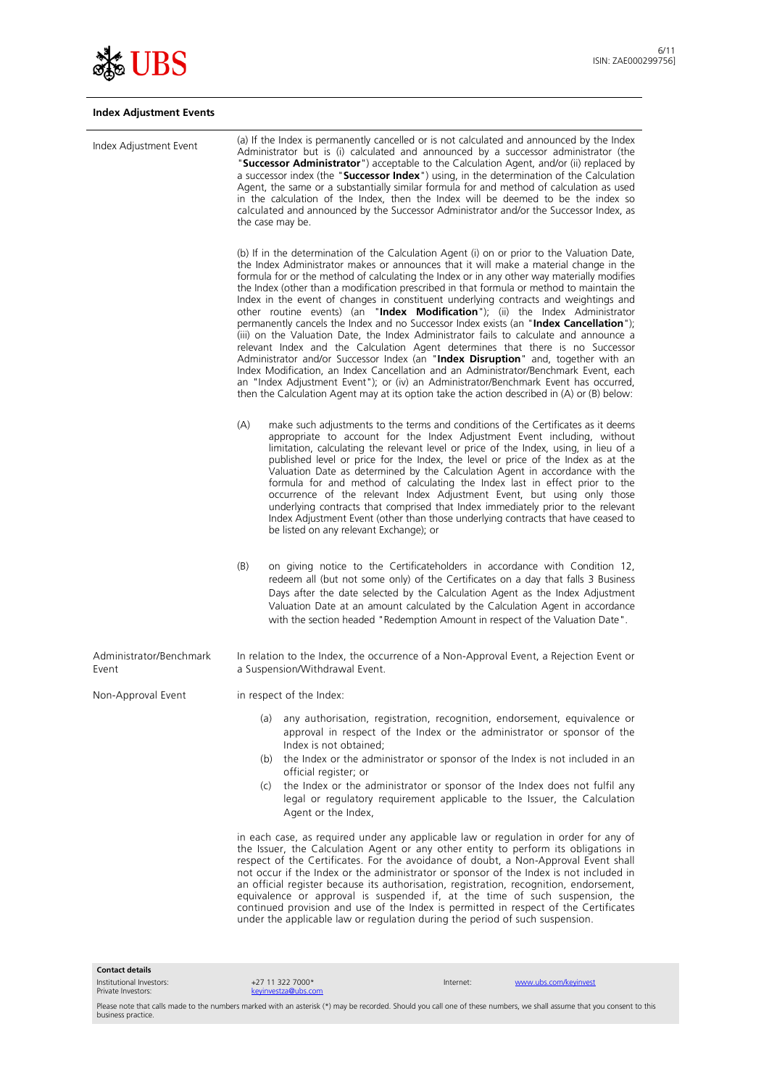

# **Index Adjustment Events**

| Index Adjustment Event           | (a) If the Index is permanently cancelled or is not calculated and announced by the Index<br>Administrator but is (i) calculated and announced by a successor administrator (the<br>"Successor Administrator") acceptable to the Calculation Agent, and/or (ii) replaced by<br>a successor index (the "Successor Index") using, in the determination of the Calculation<br>Agent, the same or a substantially similar formula for and method of calculation as used<br>in the calculation of the Index, then the Index will be deemed to be the index so<br>calculated and announced by the Successor Administrator and/or the Successor Index, as<br>the case may be.                                                                                                                                                                                                                                                                                                                                                                                                                                                                                                                             |  |
|----------------------------------|----------------------------------------------------------------------------------------------------------------------------------------------------------------------------------------------------------------------------------------------------------------------------------------------------------------------------------------------------------------------------------------------------------------------------------------------------------------------------------------------------------------------------------------------------------------------------------------------------------------------------------------------------------------------------------------------------------------------------------------------------------------------------------------------------------------------------------------------------------------------------------------------------------------------------------------------------------------------------------------------------------------------------------------------------------------------------------------------------------------------------------------------------------------------------------------------------|--|
|                                  | (b) If in the determination of the Calculation Agent (i) on or prior to the Valuation Date,<br>the Index Administrator makes or announces that it will make a material change in the<br>formula for or the method of calculating the Index or in any other way materially modifies<br>the Index (other than a modification prescribed in that formula or method to maintain the<br>Index in the event of changes in constituent underlying contracts and weightings and<br>other routine events) (an "Index Modification"); (ii) the Index Administrator<br>permanently cancels the Index and no Successor Index exists (an "Index Cancellation");<br>(iii) on the Valuation Date, the Index Administrator fails to calculate and announce a<br>relevant Index and the Calculation Agent determines that there is no Successor<br>Administrator and/or Successor Index (an "Index Disruption" and, together with an<br>Index Modification, an Index Cancellation and an Administrator/Benchmark Event, each<br>an "Index Adjustment Event"); or (iv) an Administrator/Benchmark Event has occurred,<br>then the Calculation Agent may at its option take the action described in (A) or (B) below: |  |
|                                  | (A)<br>make such adjustments to the terms and conditions of the Certificates as it deems<br>appropriate to account for the Index Adjustment Event including, without<br>limitation, calculating the relevant level or price of the Index, using, in lieu of a<br>published level or price for the Index, the level or price of the Index as at the<br>Valuation Date as determined by the Calculation Agent in accordance with the<br>formula for and method of calculating the Index last in effect prior to the<br>occurrence of the relevant Index Adjustment Event, but using only those<br>underlying contracts that comprised that Index immediately prior to the relevant<br>Index Adjustment Event (other than those underlying contracts that have ceased to<br>be listed on any relevant Exchange); or                                                                                                                                                                                                                                                                                                                                                                                   |  |
|                                  | (B)<br>on giving notice to the Certificateholders in accordance with Condition 12,<br>redeem all (but not some only) of the Certificates on a day that falls 3 Business<br>Days after the date selected by the Calculation Agent as the Index Adjustment<br>Valuation Date at an amount calculated by the Calculation Agent in accordance<br>with the section headed "Redemption Amount in respect of the Valuation Date".                                                                                                                                                                                                                                                                                                                                                                                                                                                                                                                                                                                                                                                                                                                                                                         |  |
| Administrator/Benchmark<br>Event | In relation to the Index, the occurrence of a Non-Approval Event, a Rejection Event or<br>a Suspension/Withdrawal Event.                                                                                                                                                                                                                                                                                                                                                                                                                                                                                                                                                                                                                                                                                                                                                                                                                                                                                                                                                                                                                                                                           |  |
| Non-Approval Event               | in respect of the Index:                                                                                                                                                                                                                                                                                                                                                                                                                                                                                                                                                                                                                                                                                                                                                                                                                                                                                                                                                                                                                                                                                                                                                                           |  |
|                                  | any authorisation, registration, recognition, endorsement, equivalence or<br>(a)<br>approval in respect of the Index or the administrator or sponsor of the<br>Index is not obtained;<br>the Index or the administrator or sponsor of the Index is not included in an<br>(b)                                                                                                                                                                                                                                                                                                                                                                                                                                                                                                                                                                                                                                                                                                                                                                                                                                                                                                                       |  |
|                                  | official register; or<br>the Index or the administrator or sponsor of the Index does not fulfil any<br>(c)<br>legal or regulatory requirement applicable to the Issuer, the Calculation<br>Agent or the Index,                                                                                                                                                                                                                                                                                                                                                                                                                                                                                                                                                                                                                                                                                                                                                                                                                                                                                                                                                                                     |  |
|                                  | in each case, as required under any applicable law or regulation in order for any of<br>the Issuer, the Calculation Agent or any other entity to perform its obligations in<br>respect of the Certificates. For the avoidance of doubt, a Non-Approval Event shall<br>not occur if the Index or the administrator or sponsor of the Index is not included in<br>an official register because its authorisation, registration, recognition, endorsement,<br>equivalence or approval is suspended if, at the time of such suspension, the<br>continued provision and use of the Index is permitted in respect of the Certificates<br>under the applicable law or regulation during the period of such suspension.                                                                                                                                                                                                                                                                                                                                                                                                                                                                                    |  |

**Contact details**

Institutional Investors: Private Investors:

+27 11 322 7000\*<br>
<u>keyinvestza@ubs.cc</u> [keyinvestza@ubs.com](mailto:keyinvestza@ubs.com)

Internet: [www.ubs.com/keyinvest](http://www.ubs.com/keyinvest)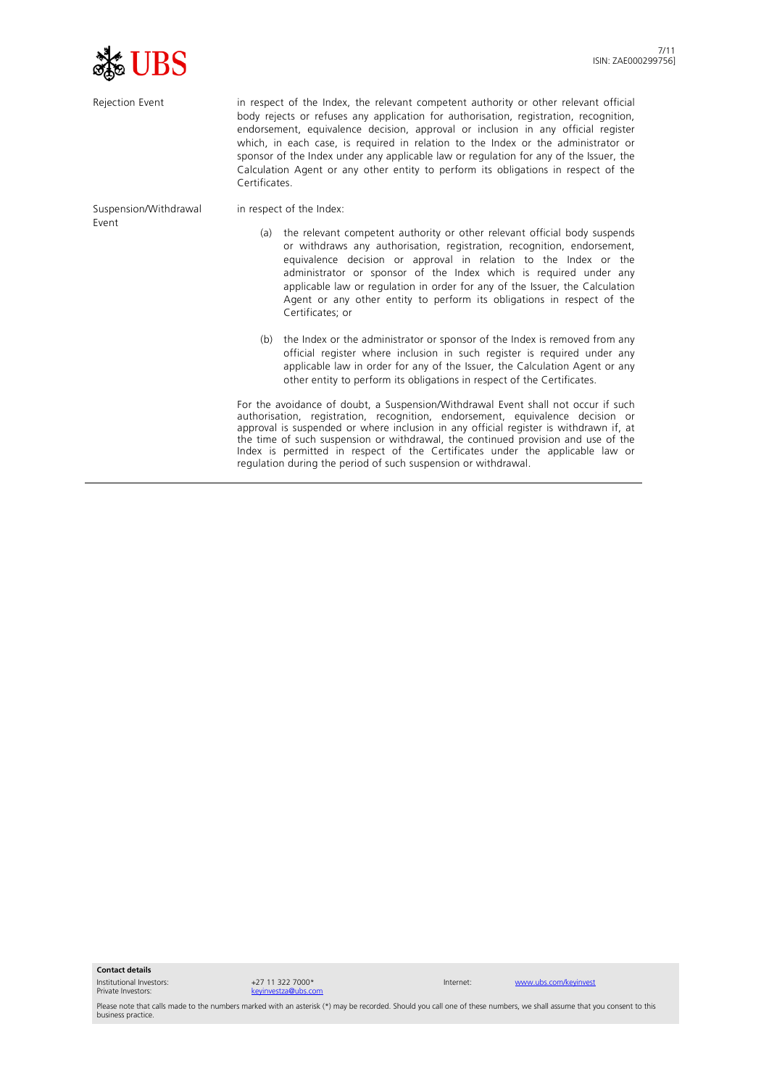

| Rejection Event       | in respect of the Index, the relevant competent authority or other relevant official<br>body rejects or refuses any application for authorisation, registration, recognition,<br>endorsement, equivalence decision, approval or inclusion in any official register<br>which, in each case, is required in relation to the Index or the administrator or<br>sponsor of the Index under any applicable law or regulation for any of the Issuer, the<br>Calculation Agent or any other entity to perform its obligations in respect of the<br>Certificates. |                                                                                                                                                                                                                                                                                                                                                                                                                                                                                                      |  |
|-----------------------|----------------------------------------------------------------------------------------------------------------------------------------------------------------------------------------------------------------------------------------------------------------------------------------------------------------------------------------------------------------------------------------------------------------------------------------------------------------------------------------------------------------------------------------------------------|------------------------------------------------------------------------------------------------------------------------------------------------------------------------------------------------------------------------------------------------------------------------------------------------------------------------------------------------------------------------------------------------------------------------------------------------------------------------------------------------------|--|
| Suspension/Withdrawal |                                                                                                                                                                                                                                                                                                                                                                                                                                                                                                                                                          | in respect of the Index:                                                                                                                                                                                                                                                                                                                                                                                                                                                                             |  |
| Fvent                 | (a)                                                                                                                                                                                                                                                                                                                                                                                                                                                                                                                                                      | the relevant competent authority or other relevant official body suspends<br>or withdraws any authorisation, registration, recognition, endorsement,<br>equivalence decision or approval in relation to the Index or the<br>administrator or sponsor of the Index which is required under any<br>applicable law or regulation in order for any of the Issuer, the Calculation<br>Agent or any other entity to perform its obligations in respect of the<br>Certificates; or                          |  |
|                       | (b)                                                                                                                                                                                                                                                                                                                                                                                                                                                                                                                                                      | the Index or the administrator or sponsor of the Index is removed from any<br>official register where inclusion in such register is required under any<br>applicable law in order for any of the Issuer, the Calculation Agent or any<br>other entity to perform its obligations in respect of the Certificates.                                                                                                                                                                                     |  |
|                       |                                                                                                                                                                                                                                                                                                                                                                                                                                                                                                                                                          | For the avoidance of doubt, a Suspension/Withdrawal Event shall not occur if such<br>authorisation, registration, recognition, endorsement, equivalence decision or<br>approval is suspended or where inclusion in any official register is withdrawn if, at<br>the time of such suspension or withdrawal, the continued provision and use of the<br>Index is permitted in respect of the Certificates under the applicable law or<br>regulation during the period of such suspension or withdrawal. |  |

**Contact details**

Institutional Investors: Private Investors:

+27 11 322 7000\* [keyinvestza@ubs.com](mailto:keyinvestza@ubs.com)

Internet: [www.ubs.com/keyinvest](http://www.ubs.com/keyinvest)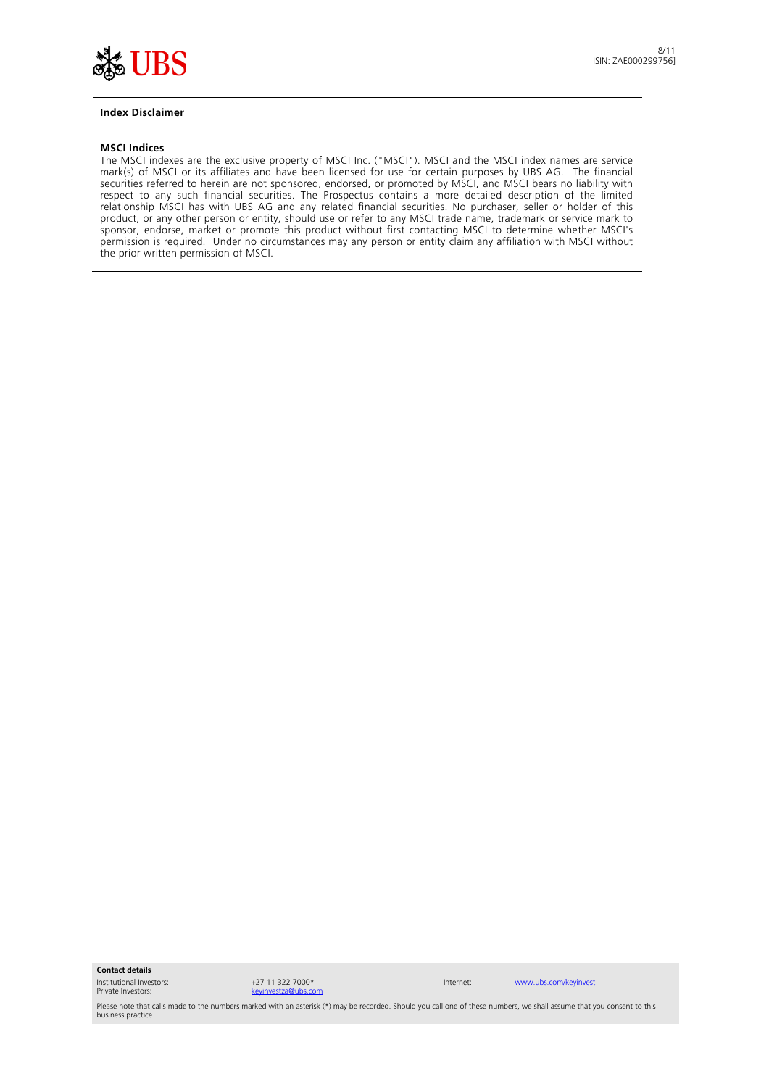

#### **Index Disclaimer**

#### **MSCI Indices**

The MSCI indexes are the exclusive property of MSCI Inc. ("MSCI"). MSCI and the MSCI index names are service mark(s) of MSCI or its affiliates and have been licensed for use for certain purposes by UBS AG. The financial securities referred to herein are not sponsored, endorsed, or promoted by MSCI, and MSCI bears no liability with respect to any such financial securities. The Prospectus contains a more detailed description of the limited relationship MSCI has with UBS AG and any related financial securities. No purchaser, seller or holder of this product, or any other person or entity, should use or refer to any MSCI trade name, trademark or service mark to sponsor, endorse, market or promote this product without first contacting MSCI to determine whether MSCI's permission is required. Under no circumstances may any person or entity claim any affiliation with MSCI without the prior written permission of MSCI.

**Contact details**

Institutional Investors: Private Investors:



Internet: [www.ubs.com/keyinvest](http://www.ubs.com/keyinvest)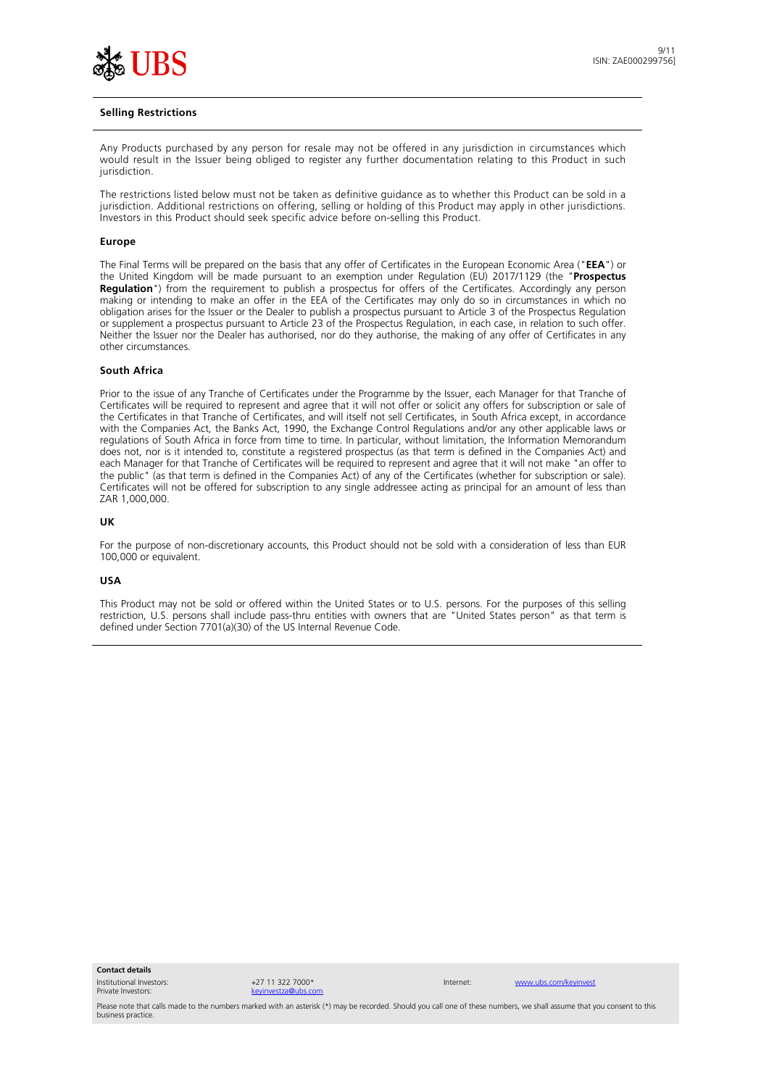

#### **Selling Restrictions**

Any Products purchased by any person for resale may not be offered in any jurisdiction in circumstances which would result in the Issuer being obliged to register any further documentation relating to this Product in such jurisdiction.

The restrictions listed below must not be taken as definitive guidance as to whether this Product can be sold in a jurisdiction. Additional restrictions on offering, selling or holding of this Product may apply in other jurisdictions. Investors in this Product should seek specific advice before on-selling this Product.

#### **Europe**

The Final Terms will be prepared on the basis that any offer of Certificates in the European Economic Area ("**EEA**") or the United Kingdom will be made pursuant to an exemption under Regulation (EU) 2017/1129 (the "**Prospectus Regulation**") from the requirement to publish a prospectus for offers of the Certificates. Accordingly any person making or intending to make an offer in the EEA of the Certificates may only do so in circumstances in which no obligation arises for the Issuer or the Dealer to publish a prospectus pursuant to Article 3 of the Prospectus Regulation or supplement a prospectus pursuant to Article 23 of the Prospectus Regulation, in each case, in relation to such offer. Neither the Issuer nor the Dealer has authorised, nor do they authorise, the making of any offer of Certificates in any other circumstances.

### **South Africa**

Prior to the issue of any Tranche of Certificates under the Programme by the Issuer, each Manager for that Tranche of Certificates will be required to represent and agree that it will not offer or solicit any offers for subscription or sale of the Certificates in that Tranche of Certificates, and will itself not sell Certificates, in South Africa except, in accordance with the Companies Act, the Banks Act, 1990, the Exchange Control Regulations and/or any other applicable laws or regulations of South Africa in force from time to time. In particular, without limitation, the Information Memorandum does not, nor is it intended to, constitute a registered prospectus (as that term is defined in the Companies Act) and each Manager for that Tranche of Certificates will be required to represent and agree that it will not make "an offer to the public" (as that term is defined in the Companies Act) of any of the Certificates (whether for subscription or sale). Certificates will not be offered for subscription to any single addressee acting as principal for an amount of less than ZAR 1,000,000.

#### **UK**

For the purpose of non-discretionary accounts, this Product should not be sold with a consideration of less than EUR 100,000 or equivalent.

#### **USA**

This Product may not be sold or offered within the United States or to U.S. persons. For the purposes of this selling restriction, U.S. persons shall include pass-thru entities with owners that are "United States person" as that term is defined under Section 7701(a)(30) of the US Internal Revenue Code.

**Contact details**

Institutional Investors: Private Investors:

+27 11 322 7000 [keyinvestza@ubs.com](mailto:keyinvestza@ubs.com)

Internet: [www.ubs.com/keyinvest](http://www.ubs.com/keyinvest)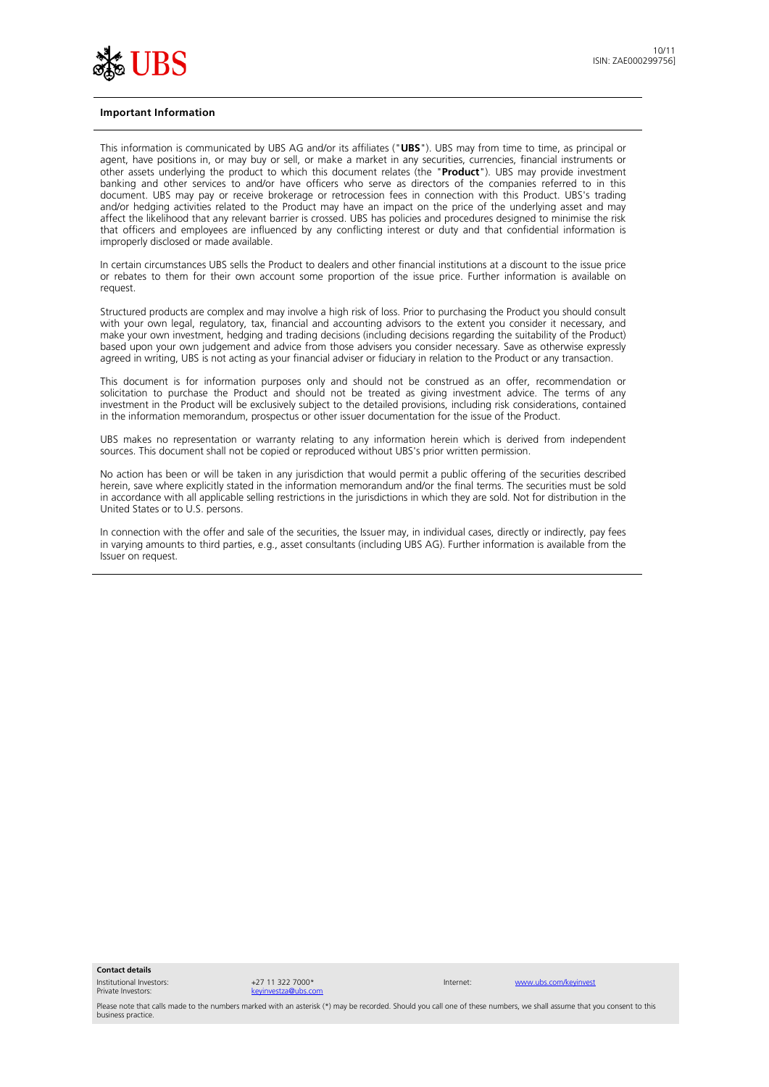

#### **Important Information**

This information is communicated by UBS AG and/or its affiliates ("**UBS**"). UBS may from time to time, as principal or agent, have positions in, or may buy or sell, or make a market in any securities, currencies, financial instruments or other assets underlying the product to which this document relates (the "**Product**"). UBS may provide investment banking and other services to and/or have officers who serve as directors of the companies referred to in this document. UBS may pay or receive brokerage or retrocession fees in connection with this Product. UBS's trading and/or hedging activities related to the Product may have an impact on the price of the underlying asset and may affect the likelihood that any relevant barrier is crossed. UBS has policies and procedures designed to minimise the risk that officers and employees are influenced by any conflicting interest or duty and that confidential information is improperly disclosed or made available.

In certain circumstances UBS sells the Product to dealers and other financial institutions at a discount to the issue price or rebates to them for their own account some proportion of the issue price. Further information is available on request.

Structured products are complex and may involve a high risk of loss. Prior to purchasing the Product you should consult with your own legal, regulatory, tax, financial and accounting advisors to the extent you consider it necessary, and make your own investment, hedging and trading decisions (including decisions regarding the suitability of the Product) based upon your own judgement and advice from those advisers you consider necessary. Save as otherwise expressly agreed in writing, UBS is not acting as your financial adviser or fiduciary in relation to the Product or any transaction.

This document is for information purposes only and should not be construed as an offer, recommendation or solicitation to purchase the Product and should not be treated as giving investment advice. The terms of any investment in the Product will be exclusively subject to the detailed provisions, including risk considerations, contained in the information memorandum, prospectus or other issuer documentation for the issue of the Product.

UBS makes no representation or warranty relating to any information herein which is derived from independent sources. This document shall not be copied or reproduced without UBS's prior written permission.

No action has been or will be taken in any jurisdiction that would permit a public offering of the securities described herein, save where explicitly stated in the information memorandum and/or the final terms. The securities must be sold in accordance with all applicable selling restrictions in the jurisdictions in which they are sold. Not for distribution in the United States or to U.S. persons.

In connection with the offer and sale of the securities, the Issuer may, in individual cases, directly or indirectly, pay fees in varying amounts to third parties, e.g., asset consultants (including UBS AG). Further information is available from the Issuer on request.

**Contact details**

Institutional Investors: Private Investors:

+27 11 322 7000 [keyinvestza@ubs.com](mailto:keyinvestza@ubs.com)

Internet: [www.ubs.com/keyinvest](http://www.ubs.com/keyinvest)